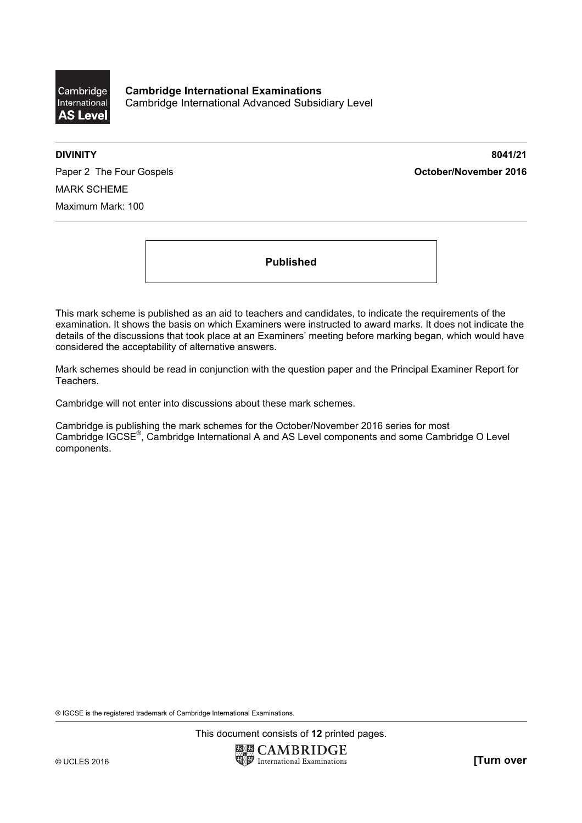

**Cambridge International Examinations**  Cambridge International Advanced Subsidiary Level

**DIVINITY 8041/21** 

Paper 2 The Four Gospels **Contact Act Contact Act Contact Act October/November 2016** MARK SCHEME Maximum Mark: 100

**Published** 

This mark scheme is published as an aid to teachers and candidates, to indicate the requirements of the examination. It shows the basis on which Examiners were instructed to award marks. It does not indicate the details of the discussions that took place at an Examiners' meeting before marking began, which would have considered the acceptability of alternative answers.

Mark schemes should be read in conjunction with the question paper and the Principal Examiner Report for Teachers.

Cambridge will not enter into discussions about these mark schemes.

Cambridge is publishing the mark schemes for the October/November 2016 series for most Cambridge IGCSE®, Cambridge International A and AS Level components and some Cambridge O Level components.

® IGCSE is the registered trademark of Cambridge International Examinations.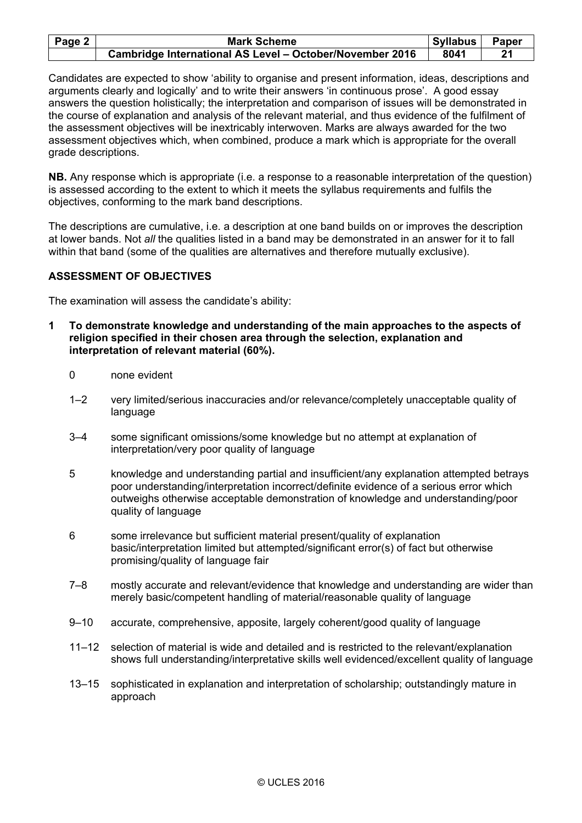| Page 2 $ $ | <b>Mark Scheme</b>                                       | <b>Syllabus</b> | <b>Paper</b> |
|------------|----------------------------------------------------------|-----------------|--------------|
|            | Cambridge International AS Level - October/November 2016 | 8041            | 21           |

Candidates are expected to show 'ability to organise and present information, ideas, descriptions and arguments clearly and logically' and to write their answers 'in continuous prose'. A good essay answers the question holistically; the interpretation and comparison of issues will be demonstrated in the course of explanation and analysis of the relevant material, and thus evidence of the fulfilment of the assessment objectives will be inextricably interwoven. Marks are always awarded for the two assessment objectives which, when combined, produce a mark which is appropriate for the overall grade descriptions.

**NB.** Any response which is appropriate (i.e. a response to a reasonable interpretation of the question) is assessed according to the extent to which it meets the syllabus requirements and fulfils the objectives, conforming to the mark band descriptions.

The descriptions are cumulative, i.e. a description at one band builds on or improves the description at lower bands. Not *all* the qualities listed in a band may be demonstrated in an answer for it to fall within that band (some of the qualities are alternatives and therefore mutually exclusive).

# **ASSESSMENT OF OBJECTIVES**

The examination will assess the candidate's ability:

- **1 To demonstrate knowledge and understanding of the main approaches to the aspects of religion specified in their chosen area through the selection, explanation and interpretation of relevant material (60%).** 
	- 0 none evident
	- 1–2 very limited/serious inaccuracies and/or relevance/completely unacceptable quality of language
	- 3–4 some significant omissions/some knowledge but no attempt at explanation of interpretation/very poor quality of language
	- 5 knowledge and understanding partial and insufficient/any explanation attempted betrays poor understanding/interpretation incorrect/definite evidence of a serious error which outweighs otherwise acceptable demonstration of knowledge and understanding/poor quality of language
	- 6 some irrelevance but sufficient material present/quality of explanation basic/interpretation limited but attempted/significant error(s) of fact but otherwise promising/quality of language fair
	- 7–8 mostly accurate and relevant/evidence that knowledge and understanding are wider than merely basic/competent handling of material/reasonable quality of language
	- 9–10 accurate, comprehensive, apposite, largely coherent/good quality of language
	- 11–12 selection of material is wide and detailed and is restricted to the relevant/explanation shows full understanding/interpretative skills well evidenced/excellent quality of language
	- 13–15 sophisticated in explanation and interpretation of scholarship; outstandingly mature in approach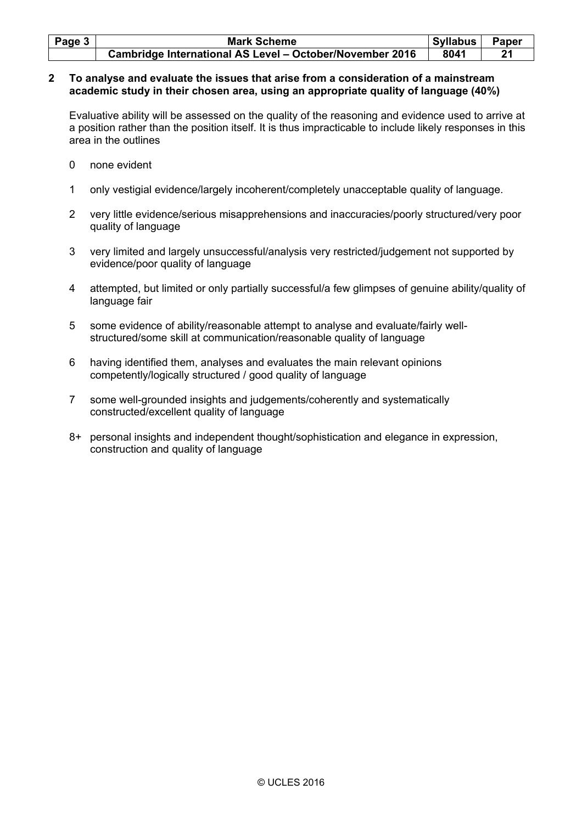| Page $3 \mid$ | <b>Mark Scheme</b>                                              | <b>Syllabus</b> | <b>Paper</b> |
|---------------|-----------------------------------------------------------------|-----------------|--------------|
|               | <b>Cambridge International AS Level - October/November 2016</b> | 8041            | 21           |

#### **2 To analyse and evaluate the issues that arise from a consideration of a mainstream academic study in their chosen area, using an appropriate quality of language (40%)**

 Evaluative ability will be assessed on the quality of the reasoning and evidence used to arrive at a position rather than the position itself. It is thus impracticable to include likely responses in this area in the outlines

- 0 none evident
- 1 only vestigial evidence/largely incoherent/completely unacceptable quality of language.
- 2 very little evidence/serious misapprehensions and inaccuracies/poorly structured/very poor quality of language
- 3 very limited and largely unsuccessful/analysis very restricted/judgement not supported by evidence/poor quality of language
- 4 attempted, but limited or only partially successful/a few glimpses of genuine ability/quality of language fair
- 5 some evidence of ability/reasonable attempt to analyse and evaluate/fairly wellstructured/some skill at communication/reasonable quality of language
- 6 having identified them, analyses and evaluates the main relevant opinions competently/logically structured / good quality of language
- 7 some well-grounded insights and judgements/coherently and systematically constructed/excellent quality of language
- 8+ personal insights and independent thought/sophistication and elegance in expression, construction and quality of language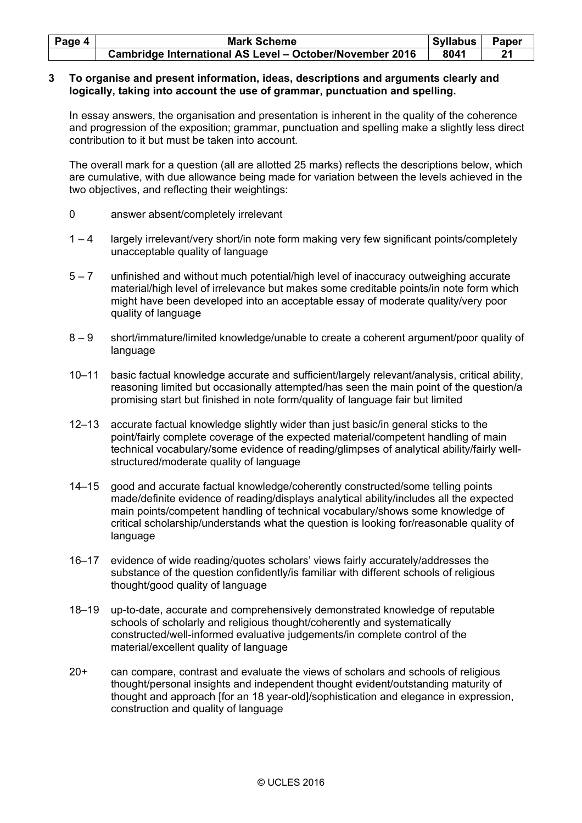| Page 4 | <b>Mark Scheme</b>                                       | Syllabus | Paper          |
|--------|----------------------------------------------------------|----------|----------------|
|        | Cambridge International AS Level - October/November 2016 | 8041     | 2 <sub>1</sub> |

#### **3 To organise and present information, ideas, descriptions and arguments clearly and logically, taking into account the use of grammar, punctuation and spelling.**

In essay answers, the organisation and presentation is inherent in the quality of the coherence and progression of the exposition; grammar, punctuation and spelling make a slightly less direct contribution to it but must be taken into account.

 The overall mark for a question (all are allotted 25 marks) reflects the descriptions below, which are cumulative, with due allowance being made for variation between the levels achieved in the two objectives, and reflecting their weightings:

- 0 answer absent/completely irrelevant
- 1 4 largely irrelevant/very short/in note form making very few significant points/completely unacceptable quality of language
- 5 7 unfinished and without much potential/high level of inaccuracy outweighing accurate material/high level of irrelevance but makes some creditable points/in note form which might have been developed into an acceptable essay of moderate quality/very poor quality of language
- 8 9 short/immature/limited knowledge/unable to create a coherent argument/poor quality of language
- 10–11 basic factual knowledge accurate and sufficient/largely relevant/analysis, critical ability, reasoning limited but occasionally attempted/has seen the main point of the question/a promising start but finished in note form/quality of language fair but limited
- 12–13 accurate factual knowledge slightly wider than just basic/in general sticks to the point/fairly complete coverage of the expected material/competent handling of main technical vocabulary/some evidence of reading/glimpses of analytical ability/fairly wellstructured/moderate quality of language
- 14–15 good and accurate factual knowledge/coherently constructed/some telling points made/definite evidence of reading/displays analytical ability/includes all the expected main points/competent handling of technical vocabulary/shows some knowledge of critical scholarship/understands what the question is looking for/reasonable quality of language
- 16–17 evidence of wide reading/quotes scholars' views fairly accurately/addresses the substance of the question confidently/is familiar with different schools of religious thought/good quality of language
- 18–19 up-to-date, accurate and comprehensively demonstrated knowledge of reputable schools of scholarly and religious thought/coherently and systematically constructed/well-informed evaluative judgements/in complete control of the material/excellent quality of language
- 20+ can compare, contrast and evaluate the views of scholars and schools of religious thought/personal insights and independent thought evident/outstanding maturity of thought and approach [for an 18 year-old]/sophistication and elegance in expression, construction and quality of language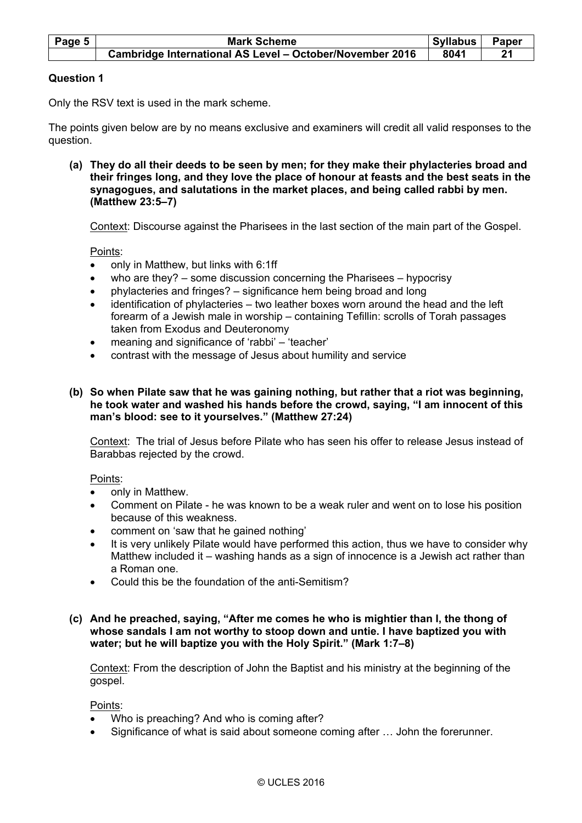| Page 5 | <b>Mark Scheme</b>                                              | <b>Syllabus</b> | <b>Paper</b> |
|--------|-----------------------------------------------------------------|-----------------|--------------|
|        | <b>Cambridge International AS Level - October/November 2016</b> | 8041            | 21           |

# **Question 1**

Only the RSV text is used in the mark scheme.

The points given below are by no means exclusive and examiners will credit all valid responses to the question.

 **(a) They do all their deeds to be seen by men; for they make their phylacteries broad and their fringes long, and they love the place of honour at feasts and the best seats in the synagogues, and salutations in the market places, and being called rabbi by men. (Matthew 23:5–7)**

Context: Discourse against the Pharisees in the last section of the main part of the Gospel.

Points:

- only in Matthew, but links with 6:1ff
- who are they? some discussion concerning the Pharisees hypocrisy
- phylacteries and fringes? significance hem being broad and long
- identification of phylacteries two leather boxes worn around the head and the left forearm of a Jewish male in worship – containing Tefillin: scrolls of Torah passages taken from Exodus and Deuteronomy
- meaning and significance of 'rabbi' 'teacher'
- contrast with the message of Jesus about humility and service
- **(b) So when Pilate saw that he was gaining nothing, but rather that a riot was beginning, he took water and washed his hands before the crowd, saying, "I am innocent of this man's blood: see to it yourselves." (Matthew 27:24)**

 Context: The trial of Jesus before Pilate who has seen his offer to release Jesus instead of Barabbas rejected by the crowd.

Points:

- only in Matthew.
- Comment on Pilate he was known to be a weak ruler and went on to lose his position because of this weakness.
- comment on 'saw that he gained nothing'
- It is very unlikely Pilate would have performed this action, thus we have to consider why Matthew included it – washing hands as a sign of innocence is a Jewish act rather than a Roman one.
- Could this be the foundation of the anti-Semitism?

#### **(c) And he preached, saying, "After me comes he who is mightier than I, the thong of whose sandals I am not worthy to stoop down and untie. I have baptized you with water; but he will baptize you with the Holy Spirit." (Mark 1:7–8)**

 Context: From the description of John the Baptist and his ministry at the beginning of the gospel.

Points:

- Who is preaching? And who is coming after?
- Significance of what is said about someone coming after ... John the forerunner.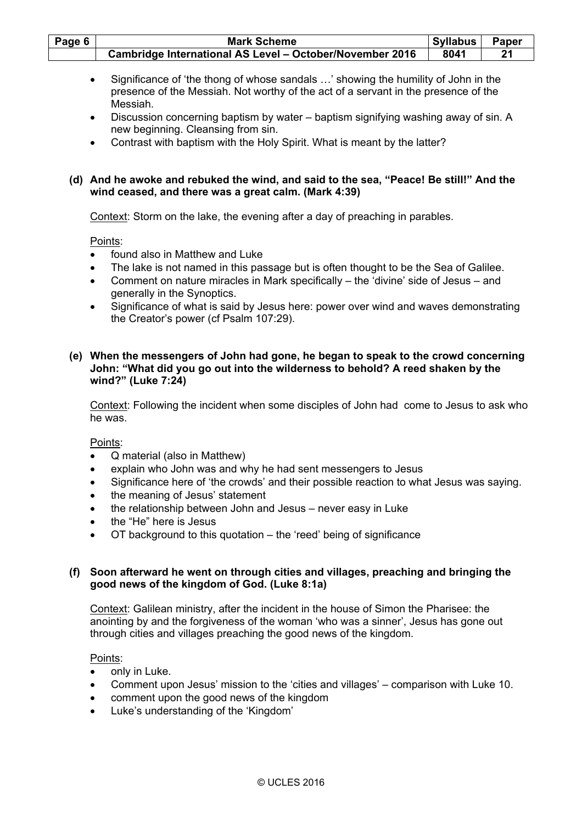| Page 6                                                        | <b>Mark Scheme</b>                                                                                                                                                                                                                                                                                                                                                                                    | <b>Syllabus</b> | Paper |
|---------------------------------------------------------------|-------------------------------------------------------------------------------------------------------------------------------------------------------------------------------------------------------------------------------------------------------------------------------------------------------------------------------------------------------------------------------------------------------|-----------------|-------|
|                                                               | Cambridge International AS Level - October/November 2016                                                                                                                                                                                                                                                                                                                                              | 8041            | 21    |
| $\bullet$<br>$\bullet$<br>$\bullet$                           | Significance of 'the thong of whose sandals ' showing the humility of John in the<br>presence of the Messiah. Not worthy of the act of a servant in the presence of the<br>Messiah.<br>Discussion concerning baptism by water - baptism signifying washing away of sin. A<br>new beginning. Cleansing from sin.<br>Contrast with baptism with the Holy Spirit. What is meant by the latter?           |                 |       |
|                                                               | (d) And he awoke and rebuked the wind, and said to the sea, "Peace! Be still!" And the<br>wind ceased, and there was a great calm. (Mark 4:39)                                                                                                                                                                                                                                                        |                 |       |
|                                                               | Context: Storm on the lake, the evening after a day of preaching in parables.                                                                                                                                                                                                                                                                                                                         |                 |       |
| ٠<br>$\bullet$<br>$\bullet$                                   | Points:<br>found also in Matthew and Luke<br>The lake is not named in this passage but is often thought to be the Sea of Galilee.<br>Comment on nature miracles in Mark specifically – the 'divine' side of Jesus – and<br>generally in the Synoptics.<br>Significance of what is said by Jesus here: power over wind and waves demonstrating<br>the Creator's power (cf Psalm 107:29).               |                 |       |
|                                                               | (e) When the messengers of John had gone, he began to speak to the crowd concerning<br>John: "What did you go out into the wilderness to behold? A reed shaken by the<br>wind?" (Luke 7:24)                                                                                                                                                                                                           |                 |       |
|                                                               | Context: Following the incident when some disciples of John had come to Jesus to ask who<br>he was.                                                                                                                                                                                                                                                                                                   |                 |       |
| $\bullet$<br>$\bullet$<br>$\bullet$<br>$\bullet$<br>$\bullet$ | Points:<br>Q material (also in Matthew)<br>explain who John was and why he had sent messengers to Jesus<br>Significance here of 'the crowds' and their possible reaction to what Jesus was saying.<br>the meaning of Jesus' statement<br>the relationship between John and Jesus - never easy in Luke<br>the "He" here is Jesus<br>OT background to this quotation – the 'reed' being of significance |                 |       |
| (f)                                                           | Soon afterward he went on through cities and villages, preaching and bringing the<br>good news of the kingdom of God. (Luke 8:1a)                                                                                                                                                                                                                                                                     |                 |       |
|                                                               | Context: Galilean ministry, after the incident in the house of Simon the Pharisee: the<br>anointing by and the forgiveness of the woman 'who was a sinner', Jesus has gone out<br>through cities and villages preaching the good news of the kingdom.                                                                                                                                                 |                 |       |
|                                                               | Points:<br>only in Luke.                                                                                                                                                                                                                                                                                                                                                                              |                 |       |

- Comment upon Jesus' mission to the 'cities and villages' comparison with Luke 10.
- comment upon the good news of the kingdom
- Luke's understanding of the 'Kingdom'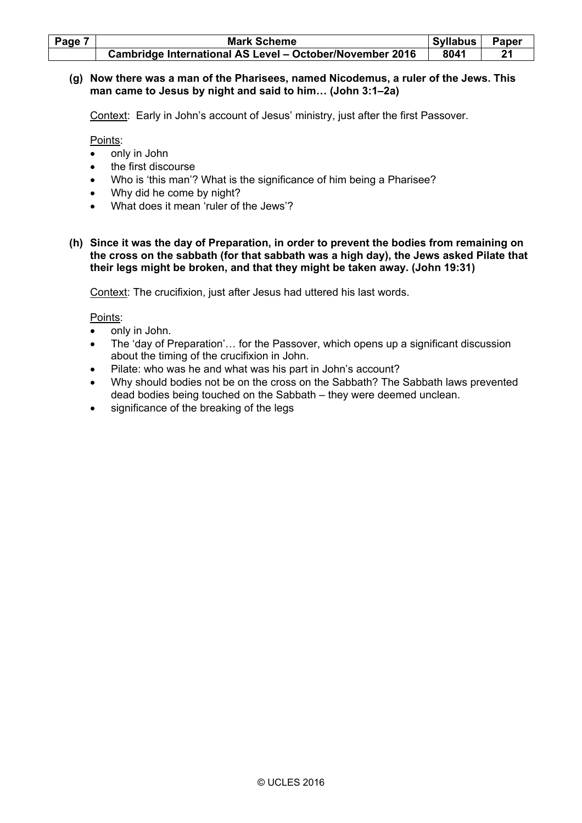| Page 7 | <b>Mark Scheme</b>                                       | <b>Syllabus</b> | Paper |
|--------|----------------------------------------------------------|-----------------|-------|
|        | Cambridge International AS Level - October/November 2016 | 8041            |       |

# **(g) Now there was a man of the Pharisees, named Nicodemus, a ruler of the Jews. This man came to Jesus by night and said to him… (John 3:1–2a)**

Context: Early in John's account of Jesus' ministry, just after the first Passover.

Points:

- only in John
- the first discourse
- Who is 'this man'? What is the significance of him being a Pharisee?
- Why did he come by night?
- What does it mean 'ruler of the Jews'?
- **(h) Since it was the day of Preparation, in order to prevent the bodies from remaining on the cross on the sabbath (for that sabbath was a high day), the Jews asked Pilate that their legs might be broken, and that they might be taken away. (John 19:31)**

Context: The crucifixion, just after Jesus had uttered his last words.

Points:

- only in John.
- The 'day of Preparation'… for the Passover, which opens up a significant discussion about the timing of the crucifixion in John.
- Pilate: who was he and what was his part in John's account?
- Why should bodies not be on the cross on the Sabbath? The Sabbath laws prevented dead bodies being touched on the Sabbath – they were deemed unclean.
- significance of the breaking of the legs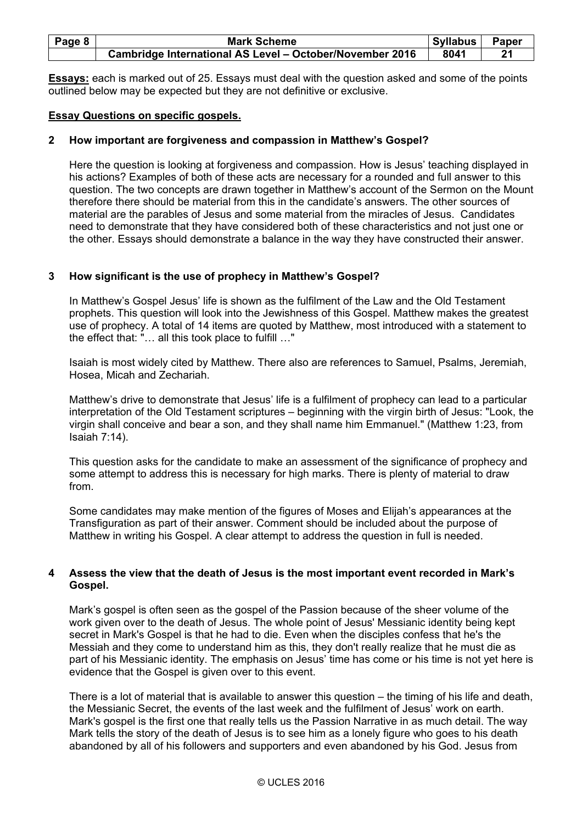| Page 8 | <b>Mark Scheme</b>                                       | <b>Syllabus</b> | Paper |
|--------|----------------------------------------------------------|-----------------|-------|
|        | Cambridge International AS Level - October/November 2016 | 8041            |       |

**Essays:** each is marked out of 25. Essays must deal with the question asked and some of the points outlined below may be expected but they are not definitive or exclusive.

### **Essay Questions on specific gospels.**

# **2 How important are forgiveness and compassion in Matthew's Gospel?**

 Here the question is looking at forgiveness and compassion. How is Jesus' teaching displayed in his actions? Examples of both of these acts are necessary for a rounded and full answer to this question. The two concepts are drawn together in Matthew's account of the Sermon on the Mount therefore there should be material from this in the candidate's answers. The other sources of material are the parables of Jesus and some material from the miracles of Jesus. Candidates need to demonstrate that they have considered both of these characteristics and not just one or the other. Essays should demonstrate a balance in the way they have constructed their answer.

### **3 How significant is the use of prophecy in Matthew's Gospel?**

 In Matthew's Gospel Jesus' life is shown as the fulfilment of the Law and the Old Testament prophets. This question will look into the Jewishness of this Gospel. Matthew makes the greatest use of prophecy. A total of 14 items are quoted by Matthew, most introduced with a statement to the effect that: "… all this took place to fulfill …"

 Isaiah is most widely cited by Matthew. There also are references to Samuel, Psalms, Jeremiah, Hosea, Micah and Zechariah.

 Matthew's drive to demonstrate that Jesus' life is a fulfilment of prophecy can lead to a particular interpretation of the Old Testament scriptures – beginning with the virgin birth of Jesus: "Look, the virgin shall conceive and bear a son, and they shall name him Emmanuel." (Matthew 1:23, from Isaiah 7:14).

 This question asks for the candidate to make an assessment of the significance of prophecy and some attempt to address this is necessary for high marks. There is plenty of material to draw from.

 Some candidates may make mention of the figures of Moses and Elijah's appearances at the Transfiguration as part of their answer. Comment should be included about the purpose of Matthew in writing his Gospel. A clear attempt to address the question in full is needed.

### **4 Assess the view that the death of Jesus is the most important event recorded in Mark's Gospel.**

 Mark's gospel is often seen as the gospel of the Passion because of the sheer volume of the work given over to the death of Jesus. The whole point of Jesus' Messianic identity being kept secret in Mark's Gospel is that he had to die. Even when the disciples confess that he's the Messiah and they come to understand him as this, they don't really realize that he must die as part of his Messianic identity. The emphasis on Jesus' time has come or his time is not yet here is evidence that the Gospel is given over to this event.

 There is a lot of material that is available to answer this question – the timing of his life and death, the Messianic Secret, the events of the last week and the fulfilment of Jesus' work on earth. Mark's gospel is the first one that really tells us the Passion Narrative in as much detail. The way Mark tells the story of the death of Jesus is to see him as a lonely figure who goes to his death abandoned by all of his followers and supporters and even abandoned by his God. Jesus from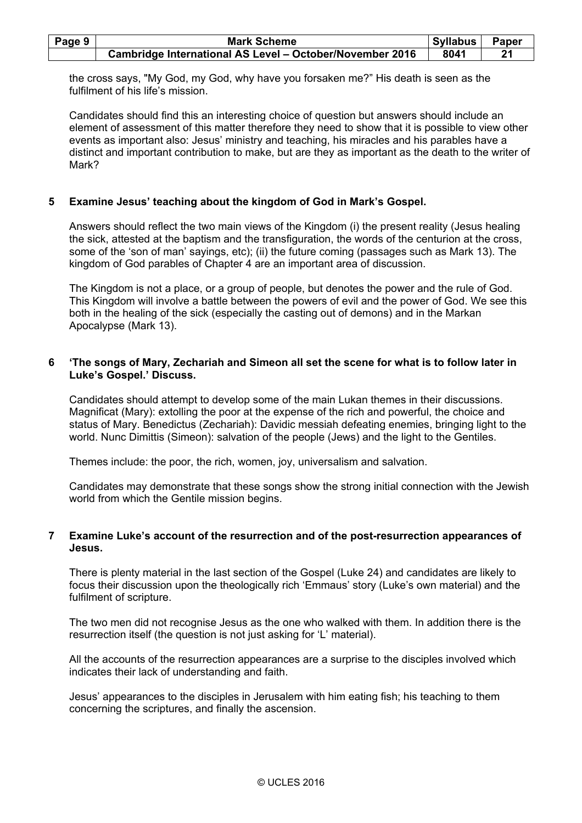| Page 9 | <b>Mark Scheme</b>                                              | Syllabus | <b>Paper</b> |
|--------|-----------------------------------------------------------------|----------|--------------|
|        | <b>Cambridge International AS Level - October/November 2016</b> | 8041     |              |

the cross says, "My God, my God, why have you forsaken me?" His death is seen as the fulfilment of his life's mission.

 Candidates should find this an interesting choice of question but answers should include an element of assessment of this matter therefore they need to show that it is possible to view other events as important also: Jesus' ministry and teaching, his miracles and his parables have a distinct and important contribution to make, but are they as important as the death to the writer of Mark?

#### **5 Examine Jesus' teaching about the kingdom of God in Mark's Gospel.**

 Answers should reflect the two main views of the Kingdom (i) the present reality (Jesus healing the sick, attested at the baptism and the transfiguration, the words of the centurion at the cross, some of the 'son of man' sayings, etc); (ii) the future coming (passages such as Mark 13). The kingdom of God parables of Chapter 4 are an important area of discussion.

 The Kingdom is not a place, or a group of people, but denotes the power and the rule of God. This Kingdom will involve a battle between the powers of evil and the power of God. We see this both in the healing of the sick (especially the casting out of demons) and in the Markan Apocalypse (Mark 13).

### **6 'The songs of Mary, Zechariah and Simeon all set the scene for what is to follow later in Luke's Gospel.' Discuss.**

 Candidates should attempt to develop some of the main Lukan themes in their discussions. Magnificat (Mary): extolling the poor at the expense of the rich and powerful, the choice and status of Mary. Benedictus (Zechariah): Davidic messiah defeating enemies, bringing light to the world. Nunc Dimittis (Simeon): salvation of the people (Jews) and the light to the Gentiles.

Themes include: the poor, the rich, women, joy, universalism and salvation.

 Candidates may demonstrate that these songs show the strong initial connection with the Jewish world from which the Gentile mission begins.

### **7 Examine Luke's account of the resurrection and of the post-resurrection appearances of Jesus.**

 There is plenty material in the last section of the Gospel (Luke 24) and candidates are likely to focus their discussion upon the theologically rich 'Emmaus' story (Luke's own material) and the fulfilment of scripture.

 The two men did not recognise Jesus as the one who walked with them. In addition there is the resurrection itself (the question is not just asking for 'L' material).

 All the accounts of the resurrection appearances are a surprise to the disciples involved which indicates their lack of understanding and faith.

 Jesus' appearances to the disciples in Jerusalem with him eating fish; his teaching to them concerning the scriptures, and finally the ascension.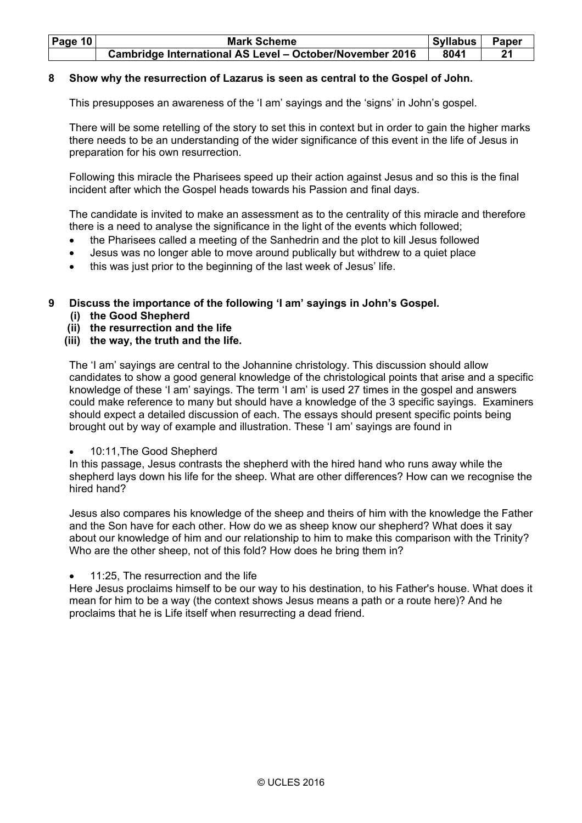| Page 10 | <b>Mark Scheme</b>                                              | Syllabus | <b>Paper</b> |
|---------|-----------------------------------------------------------------|----------|--------------|
|         | <b>Cambridge International AS Level - October/November 2016</b> | 8041     | 21           |

# **8 Show why the resurrection of Lazarus is seen as central to the Gospel of John.**

This presupposes an awareness of the 'I am' sayings and the 'signs' in John's gospel.

 There will be some retelling of the story to set this in context but in order to gain the higher marks there needs to be an understanding of the wider significance of this event in the life of Jesus in preparation for his own resurrection.

 Following this miracle the Pharisees speed up their action against Jesus and so this is the final incident after which the Gospel heads towards his Passion and final days.

 The candidate is invited to make an assessment as to the centrality of this miracle and therefore there is a need to analyse the significance in the light of the events which followed;

- the Pharisees called a meeting of the Sanhedrin and the plot to kill Jesus followed
- Jesus was no longer able to move around publically but withdrew to a quiet place
- this was just prior to the beginning of the last week of Jesus' life.

# **9 Discuss the importance of the following 'I am' sayings in John's Gospel.**

- **(i) the Good Shepherd**
- **(ii) the resurrection and the life**

# **(iii) the way, the truth and the life.**

 The 'I am' sayings are central to the Johannine christology. This discussion should allow candidates to show a good general knowledge of the christological points that arise and a specific knowledge of these 'I am' sayings. The term 'I am' is used 27 times in the gospel and answers could make reference to many but should have a knowledge of the 3 specific sayings. Examiners should expect a detailed discussion of each. The essays should present specific points being brought out by way of example and illustration. These 'I am' sayings are found in

# • 10:11,The Good Shepherd

 In this passage, Jesus contrasts the shepherd with the hired hand who runs away while the shepherd lays down his life for the sheep. What are other differences? How can we recognise the hired hand?

 Jesus also compares his knowledge of the sheep and theirs of him with the knowledge the Father and the Son have for each other. How do we as sheep know our shepherd? What does it say about our knowledge of him and our relationship to him to make this comparison with the Trinity? Who are the other sheep, not of this fold? How does he bring them in?

11:25. The resurrection and the life

 Here Jesus proclaims himself to be our way to his destination, to his Father's house. What does it mean for him to be a way (the context shows Jesus means a path or a route here)? And he proclaims that he is Life itself when resurrecting a dead friend.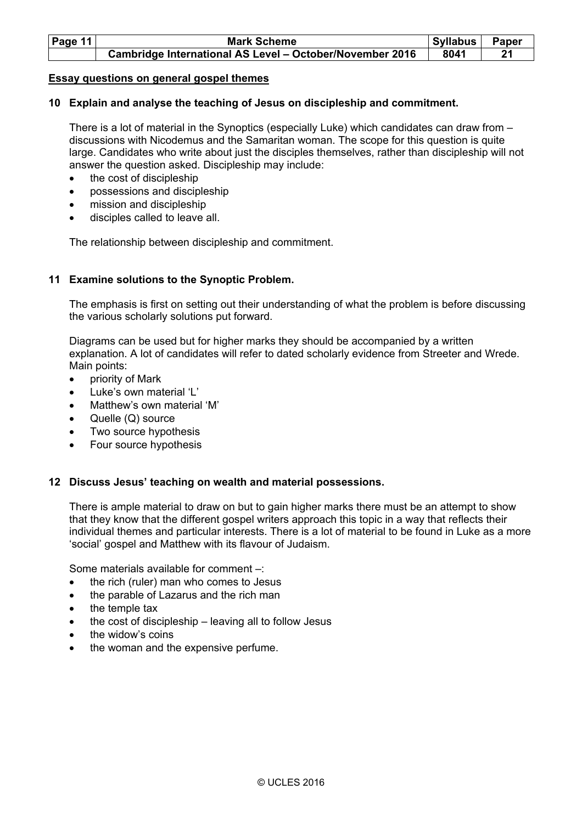| Page 11 | <b>Mark Scheme</b>                                              | <b>Syllabus</b> | <b>Paper</b> |
|---------|-----------------------------------------------------------------|-----------------|--------------|
|         | <b>Cambridge International AS Level - October/November 2016</b> | 8041            | 21           |

#### **Essay questions on general gospel themes**

### **10 Explain and analyse the teaching of Jesus on discipleship and commitment.**

 There is a lot of material in the Synoptics (especially Luke) which candidates can draw from – discussions with Nicodemus and the Samaritan woman. The scope for this question is quite large. Candidates who write about just the disciples themselves, rather than discipleship will not answer the question asked. Discipleship may include:

- the cost of discipleship
- possessions and discipleship
- mission and discipleship
- disciples called to leave all.

The relationship between discipleship and commitment.

### **11 Examine solutions to the Synoptic Problem.**

The emphasis is first on setting out their understanding of what the problem is before discussing the various scholarly solutions put forward.

Diagrams can be used but for higher marks they should be accompanied by a written explanation. A lot of candidates will refer to dated scholarly evidence from Streeter and Wrede. Main points:

- priority of Mark
- Luke's own material 'L'
- Matthew's own material 'M'
- Quelle (Q) source
- Two source hypothesis
- Four source hypothesis

#### **12 Discuss Jesus' teaching on wealth and material possessions.**

 There is ample material to draw on but to gain higher marks there must be an attempt to show that they know that the different gospel writers approach this topic in a way that reflects their individual themes and particular interests. There is a lot of material to be found in Luke as a more 'social' gospel and Matthew with its flavour of Judaism.

Some materials available for comment –:

- the rich (ruler) man who comes to Jesus
- the parable of Lazarus and the rich man
- the temple tax
- the cost of discipleship leaving all to follow Jesus
- the widow's coins
- the woman and the expensive perfume.